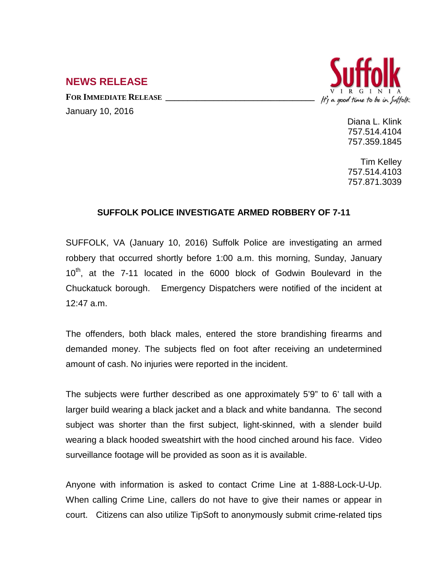## It's a good time to be in Suffolk

## **NEWS RELEASE**

FOR IMMEDIATE RELEASE January 10, 2016

> Diana L. Klink 757.514.4104 757.359.1845

> Tim Kelley 757.514.4103 757.871.3039

## **SUFFOLK POLICE INVESTIGATE ARMED ROBBERY OF 7-11**

SUFFOLK, VA (January 10, 2016) Suffolk Police are investigating an armed robbery that occurred shortly before 1:00 a.m. this morning, Sunday, January  $10<sup>th</sup>$ , at the 7-11 located in the 6000 block of Godwin Boulevard in the Chuckatuck borough. Emergency Dispatchers were notified of the incident at 12:47 a.m.

The offenders, both black males, entered the store brandishing firearms and demanded money. The subjects fled on foot after receiving an undetermined amount of cash. No injuries were reported in the incident.

The subjects were further described as one approximately 5'9" to 6' tall with a larger build wearing a black jacket and a black and white bandanna. The second subject was shorter than the first subject, light-skinned, with a slender build wearing a black hooded sweatshirt with the hood cinched around his face. Video surveillance footage will be provided as soon as it is available.

Anyone with information is asked to contact Crime Line at 1-888-Lock-U-Up. When calling Crime Line, callers do not have to give their names or appear in court. Citizens can also utilize TipSoft to anonymously submit crime-related tips